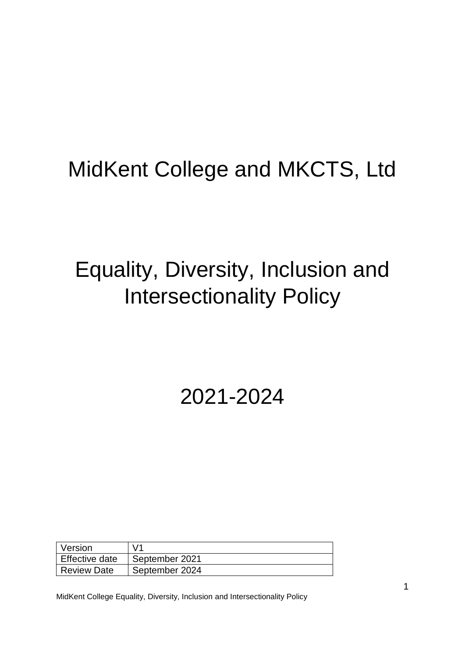## MidKent College and MKCTS, Ltd

# Equality, Diversity, Inclusion and Intersectionality Policy

## 2021-2024

| Version            | V <sub>1</sub> |
|--------------------|----------------|
| Effective date     | September 2021 |
| <b>Review Date</b> | September 2024 |

MidKent College Equality, Diversity, Inclusion and Intersectionality Policy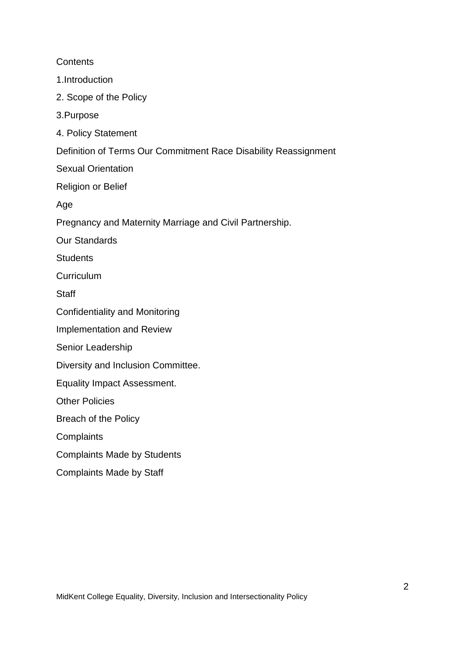**Contents** 1.Introduction 2. Scope of the Policy 3.Purpose 4. Policy Statement Definition of Terms Our Commitment Race Disability Reassignment Sexual Orientation Religion or Belief Age Pregnancy and Maternity Marriage and Civil Partnership. Our Standards **Students** Curriculum **Staff** Confidentiality and Monitoring Implementation and Review Senior Leadership Diversity and Inclusion Committee. Equality Impact Assessment. Other Policies Breach of the Policy **Complaints** Complaints Made by Students

Complaints Made by Staff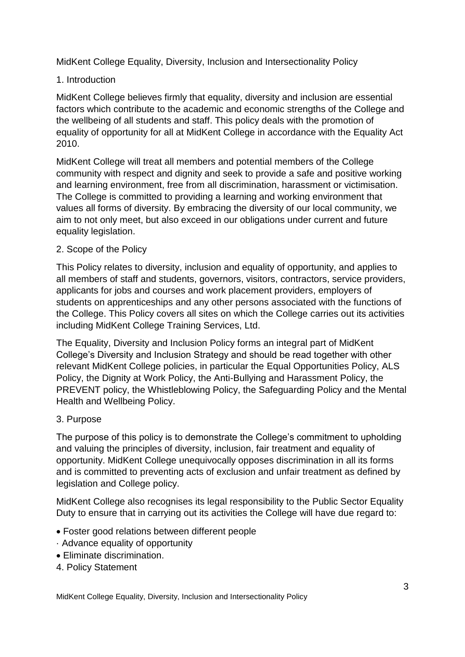MidKent College Equality, Diversity, Inclusion and Intersectionality Policy

## 1. Introduction

MidKent College believes firmly that equality, diversity and inclusion are essential factors which contribute to the academic and economic strengths of the College and the wellbeing of all students and staff. This policy deals with the promotion of equality of opportunity for all at MidKent College in accordance with the Equality Act 2010.

MidKent College will treat all members and potential members of the College community with respect and dignity and seek to provide a safe and positive working and learning environment, free from all discrimination, harassment or victimisation. The College is committed to providing a learning and working environment that values all forms of diversity. By embracing the diversity of our local community, we aim to not only meet, but also exceed in our obligations under current and future equality legislation.

## 2. Scope of the Policy

This Policy relates to diversity, inclusion and equality of opportunity, and applies to all members of staff and students, governors, visitors, contractors, service providers, applicants for jobs and courses and work placement providers, employers of students on apprenticeships and any other persons associated with the functions of the College. This Policy covers all sites on which the College carries out its activities including MidKent College Training Services, Ltd.

The Equality, Diversity and Inclusion Policy forms an integral part of MidKent College's Diversity and Inclusion Strategy and should be read together with other relevant MidKent College policies, in particular the Equal Opportunities Policy, ALS Policy, the Dignity at Work Policy, the Anti-Bullying and Harassment Policy, the PREVENT policy, the Whistleblowing Policy, the Safeguarding Policy and the Mental Health and Wellbeing Policy.

## 3. Purpose

The purpose of this policy is to demonstrate the College's commitment to upholding and valuing the principles of diversity, inclusion, fair treatment and equality of opportunity. MidKent College unequivocally opposes discrimination in all its forms and is committed to preventing acts of exclusion and unfair treatment as defined by legislation and College policy.

MidKent College also recognises its legal responsibility to the Public Sector Equality Duty to ensure that in carrying out its activities the College will have due regard to:

- Foster good relations between different people
- · Advance equality of opportunity
- Eliminate discrimination.
- 4. Policy Statement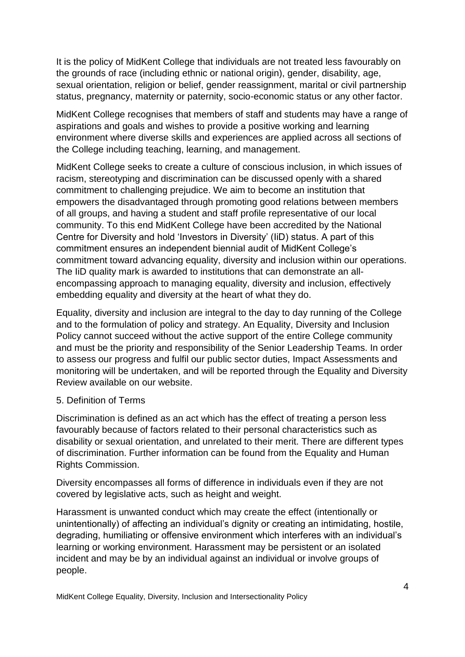It is the policy of MidKent College that individuals are not treated less favourably on the grounds of race (including ethnic or national origin), gender, disability, age, sexual orientation, religion or belief, gender reassignment, marital or civil partnership status, pregnancy, maternity or paternity, socio-economic status or any other factor.

MidKent College recognises that members of staff and students may have a range of aspirations and goals and wishes to provide a positive working and learning environment where diverse skills and experiences are applied across all sections of the College including teaching, learning, and management.

MidKent College seeks to create a culture of conscious inclusion, in which issues of racism, stereotyping and discrimination can be discussed openly with a shared commitment to challenging prejudice. We aim to become an institution that empowers the disadvantaged through promoting good relations between members of all groups, and having a student and staff profile representative of our local community. To this end MidKent College have been accredited by the National Centre for Diversity and hold 'Investors in Diversity' (IiD) status. A part of this commitment ensures an independent biennial audit of MidKent College's commitment toward advancing equality, diversity and inclusion within our operations. The IiD quality mark is awarded to institutions that can demonstrate an allencompassing approach to managing equality, diversity and inclusion, effectively embedding equality and diversity at the heart of what they do.

Equality, diversity and inclusion are integral to the day to day running of the College and to the formulation of policy and strategy. An Equality, Diversity and Inclusion Policy cannot succeed without the active support of the entire College community and must be the priority and responsibility of the Senior Leadership Teams. In order to assess our progress and fulfil our public sector duties, Impact Assessments and monitoring will be undertaken, and will be reported through the Equality and Diversity Review available on our website.

## 5. Definition of Terms

Discrimination is defined as an act which has the effect of treating a person less favourably because of factors related to their personal characteristics such as disability or sexual orientation, and unrelated to their merit. There are different types of discrimination. Further information can be found from the Equality and Human Rights Commission.

Diversity encompasses all forms of difference in individuals even if they are not covered by legislative acts, such as height and weight.

Harassment is unwanted conduct which may create the effect (intentionally or unintentionally) of affecting an individual's dignity or creating an intimidating, hostile, degrading, humiliating or offensive environment which interferes with an individual's learning or working environment. Harassment may be persistent or an isolated incident and may be by an individual against an individual or involve groups of people.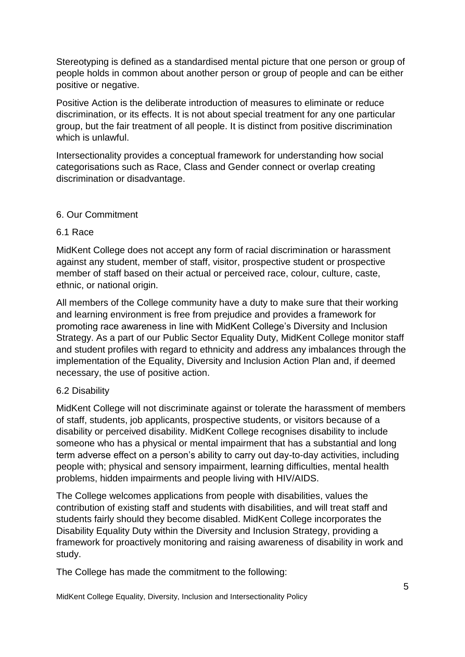Stereotyping is defined as a standardised mental picture that one person or group of people holds in common about another person or group of people and can be either positive or negative.

Positive Action is the deliberate introduction of measures to eliminate or reduce discrimination, or its effects. It is not about special treatment for any one particular group, but the fair treatment of all people. It is distinct from positive discrimination which is unlawful.

Intersectionality provides a conceptual framework for understanding how social categorisations such as Race, Class and Gender connect or overlap creating discrimination or disadvantage.

## 6. Our Commitment

## 6.1 Race

MidKent College does not accept any form of racial discrimination or harassment against any student, member of staff, visitor, prospective student or prospective member of staff based on their actual or perceived race, colour, culture, caste, ethnic, or national origin.

All members of the College community have a duty to make sure that their working and learning environment is free from prejudice and provides a framework for promoting race awareness in line with MidKent College's Diversity and Inclusion Strategy. As a part of our Public Sector Equality Duty, MidKent College monitor staff and student profiles with regard to ethnicity and address any imbalances through the implementation of the Equality, Diversity and Inclusion Action Plan and, if deemed necessary, the use of positive action.

## 6.2 Disability

MidKent College will not discriminate against or tolerate the harassment of members of staff, students, job applicants, prospective students, or visitors because of a disability or perceived disability. MidKent College recognises disability to include someone who has a physical or mental impairment that has a substantial and long term adverse effect on a person's ability to carry out day-to-day activities, including people with; physical and sensory impairment, learning difficulties, mental health problems, hidden impairments and people living with HIV/AIDS.

The College welcomes applications from people with disabilities, values the contribution of existing staff and students with disabilities, and will treat staff and students fairly should they become disabled. MidKent College incorporates the Disability Equality Duty within the Diversity and Inclusion Strategy, providing a framework for proactively monitoring and raising awareness of disability in work and study.

The College has made the commitment to the following:

MidKent College Equality, Diversity, Inclusion and Intersectionality Policy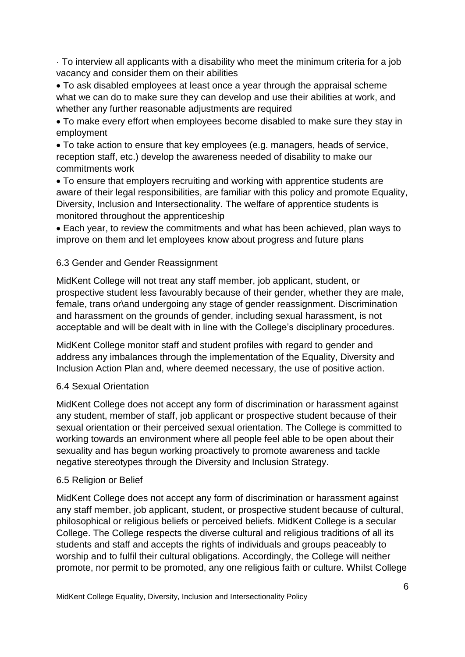· To interview all applicants with a disability who meet the minimum criteria for a job vacancy and consider them on their abilities

 To ask disabled employees at least once a year through the appraisal scheme what we can do to make sure they can develop and use their abilities at work, and whether any further reasonable adjustments are required

 To make every effort when employees become disabled to make sure they stay in employment

 To take action to ensure that key employees (e.g. managers, heads of service, reception staff, etc.) develop the awareness needed of disability to make our commitments work

 To ensure that employers recruiting and working with apprentice students are aware of their legal responsibilities, are familiar with this policy and promote Equality, Diversity, Inclusion and Intersectionality. The welfare of apprentice students is monitored throughout the apprenticeship

 Each year, to review the commitments and what has been achieved, plan ways to improve on them and let employees know about progress and future plans

## 6.3 Gender and Gender Reassignment

MidKent College will not treat any staff member, job applicant, student, or prospective student less favourably because of their gender, whether they are male, female, trans or\and undergoing any stage of gender reassignment. Discrimination and harassment on the grounds of gender, including sexual harassment, is not acceptable and will be dealt with in line with the College's disciplinary procedures.

MidKent College monitor staff and student profiles with regard to gender and address any imbalances through the implementation of the Equality, Diversity and Inclusion Action Plan and, where deemed necessary, the use of positive action.

## 6.4 Sexual Orientation

MidKent College does not accept any form of discrimination or harassment against any student, member of staff, job applicant or prospective student because of their sexual orientation or their perceived sexual orientation. The College is committed to working towards an environment where all people feel able to be open about their sexuality and has begun working proactively to promote awareness and tackle negative stereotypes through the Diversity and Inclusion Strategy.

## 6.5 Religion or Belief

MidKent College does not accept any form of discrimination or harassment against any staff member, job applicant, student, or prospective student because of cultural, philosophical or religious beliefs or perceived beliefs. MidKent College is a secular College. The College respects the diverse cultural and religious traditions of all its students and staff and accepts the rights of individuals and groups peaceably to worship and to fulfil their cultural obligations. Accordingly, the College will neither promote, nor permit to be promoted, any one religious faith or culture. Whilst College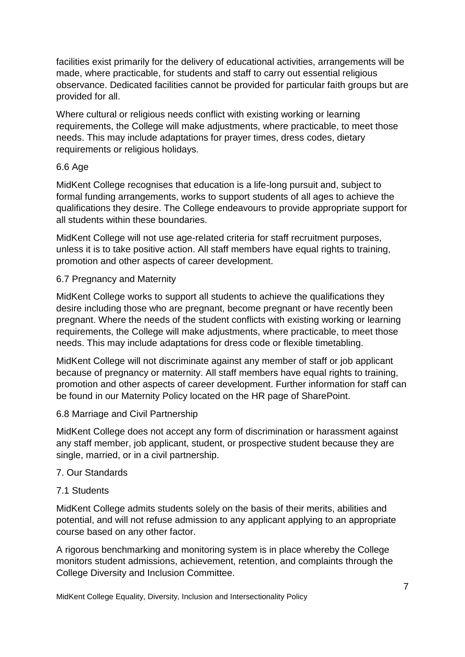facilities exist primarily for the delivery of educational activities, arrangements will be made, where practicable, for students and staff to carry out essential religious observance. Dedicated facilities cannot be provided for particular faith groups but are provided for all.

Where cultural or religious needs conflict with existing working or learning requirements, the College will make adjustments, where practicable, to meet those needs. This may include adaptations for prayer times, dress codes, dietary requirements or religious holidays.

## 6.6 Age

MidKent College recognises that education is a life-long pursuit and, subject to formal funding arrangements, works to support students of all ages to achieve the qualifications they desire. The College endeavours to provide appropriate support for all students within these boundaries.

MidKent College will not use age-related criteria for staff recruitment purposes, unless it is to take positive action. All staff members have equal rights to training, promotion and other aspects of career development.

## 6.7 Pregnancy and Maternity

MidKent College works to support all students to achieve the qualifications they desire including those who are pregnant, become pregnant or have recently been pregnant. Where the needs of the student conflicts with existing working or learning requirements, the College will make adjustments, where practicable, to meet those needs. This may include adaptations for dress code or flexible timetabling.

MidKent College will not discriminate against any member of staff or job applicant because of pregnancy or maternity. All staff members have equal rights to training, promotion and other aspects of career development. Further information for staff can be found in our Maternity Policy located on the HR page of SharePoint.

## 6.8 Marriage and Civil Partnership

MidKent College does not accept any form of discrimination or harassment against any staff member, job applicant, student, or prospective student because they are single, married, or in a civil partnership.

## 7. Our Standards

## 7.1 Students

MidKent College admits students solely on the basis of their merits, abilities and potential, and will not refuse admission to any applicant applying to an appropriate course based on any other factor.

A rigorous benchmarking and monitoring system is in place whereby the College monitors student admissions, achievement, retention, and complaints through the College Diversity and Inclusion Committee.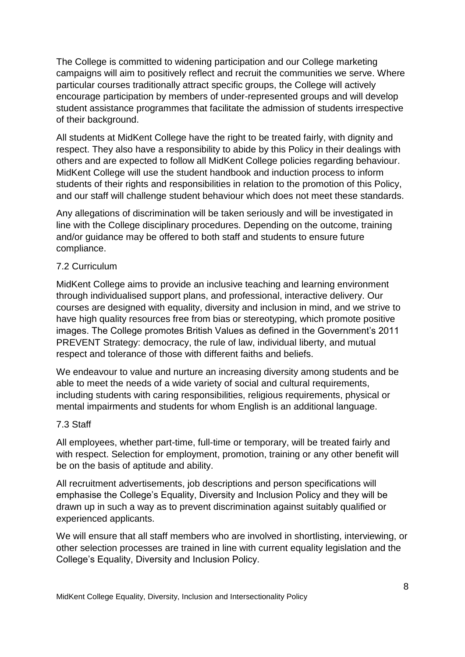The College is committed to widening participation and our College marketing campaigns will aim to positively reflect and recruit the communities we serve. Where particular courses traditionally attract specific groups, the College will actively encourage participation by members of under-represented groups and will develop student assistance programmes that facilitate the admission of students irrespective of their background.

All students at MidKent College have the right to be treated fairly, with dignity and respect. They also have a responsibility to abide by this Policy in their dealings with others and are expected to follow all MidKent College policies regarding behaviour. MidKent College will use the student handbook and induction process to inform students of their rights and responsibilities in relation to the promotion of this Policy, and our staff will challenge student behaviour which does not meet these standards.

Any allegations of discrimination will be taken seriously and will be investigated in line with the College disciplinary procedures. Depending on the outcome, training and/or guidance may be offered to both staff and students to ensure future compliance.

## 7.2 Curriculum

MidKent College aims to provide an inclusive teaching and learning environment through individualised support plans, and professional, interactive delivery. Our courses are designed with equality, diversity and inclusion in mind, and we strive to have high quality resources free from bias or stereotyping, which promote positive images. The College promotes British Values as defined in the Government's 2011 PREVENT Strategy: democracy, the rule of law, individual liberty, and mutual respect and tolerance of those with different faiths and beliefs.

We endeavour to value and nurture an increasing diversity among students and be able to meet the needs of a wide variety of social and cultural requirements, including students with caring responsibilities, religious requirements, physical or mental impairments and students for whom English is an additional language.

## 7.3 Staff

All employees, whether part-time, full-time or temporary, will be treated fairly and with respect. Selection for employment, promotion, training or any other benefit will be on the basis of aptitude and ability.

All recruitment advertisements, job descriptions and person specifications will emphasise the College's Equality, Diversity and Inclusion Policy and they will be drawn up in such a way as to prevent discrimination against suitably qualified or experienced applicants.

We will ensure that all staff members who are involved in shortlisting, interviewing, or other selection processes are trained in line with current equality legislation and the College's Equality, Diversity and Inclusion Policy.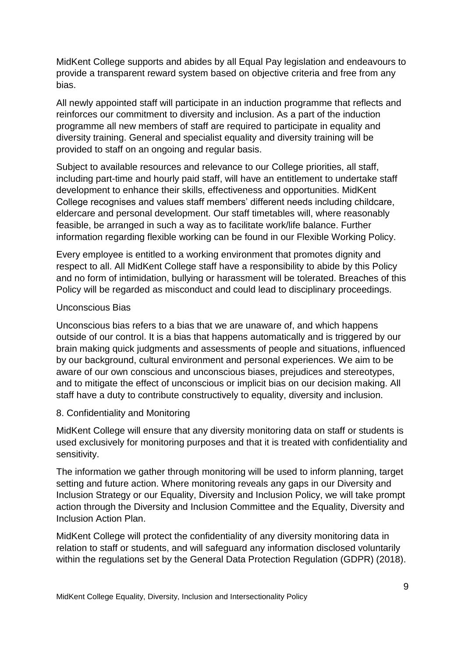MidKent College supports and abides by all Equal Pay legislation and endeavours to provide a transparent reward system based on objective criteria and free from any bias.

All newly appointed staff will participate in an induction programme that reflects and reinforces our commitment to diversity and inclusion. As a part of the induction programme all new members of staff are required to participate in equality and diversity training. General and specialist equality and diversity training will be provided to staff on an ongoing and regular basis.

Subject to available resources and relevance to our College priorities, all staff, including part-time and hourly paid staff, will have an entitlement to undertake staff development to enhance their skills, effectiveness and opportunities. MidKent College recognises and values staff members' different needs including childcare, eldercare and personal development. Our staff timetables will, where reasonably feasible, be arranged in such a way as to facilitate work/life balance. Further information regarding flexible working can be found in our Flexible Working Policy.

Every employee is entitled to a working environment that promotes dignity and respect to all. All MidKent College staff have a responsibility to abide by this Policy and no form of intimidation, bullying or harassment will be tolerated. Breaches of this Policy will be regarded as misconduct and could lead to disciplinary proceedings.

#### Unconscious Bias

Unconscious bias refers to a bias that we are unaware of, and which happens outside of our control. It is a bias that happens automatically and is triggered by our brain making quick judgments and assessments of people and situations, influenced by our background, cultural environment and personal experiences. We aim to be aware of our own conscious and unconscious biases, prejudices and stereotypes, and to mitigate the effect of unconscious or implicit bias on our decision making. All staff have a duty to contribute constructively to equality, diversity and inclusion.

8. Confidentiality and Monitoring

MidKent College will ensure that any diversity monitoring data on staff or students is used exclusively for monitoring purposes and that it is treated with confidentiality and sensitivity.

The information we gather through monitoring will be used to inform planning, target setting and future action. Where monitoring reveals any gaps in our Diversity and Inclusion Strategy or our Equality, Diversity and Inclusion Policy, we will take prompt action through the Diversity and Inclusion Committee and the Equality, Diversity and Inclusion Action Plan.

MidKent College will protect the confidentiality of any diversity monitoring data in relation to staff or students, and will safeguard any information disclosed voluntarily within the regulations set by the General Data Protection Regulation (GDPR) (2018).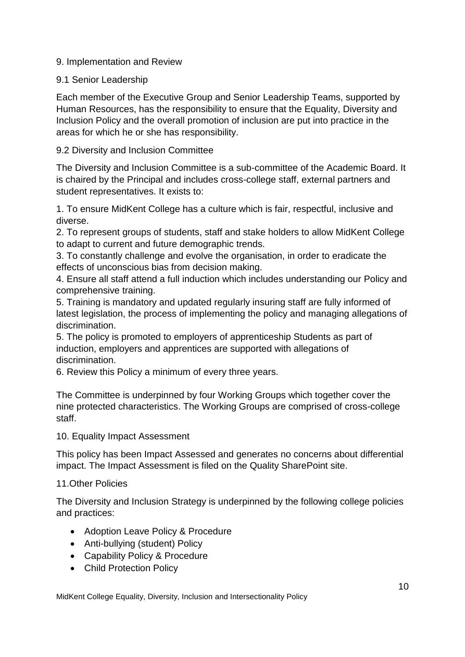## 9. Implementation and Review

## 9.1 Senior Leadership

Each member of the Executive Group and Senior Leadership Teams, supported by Human Resources, has the responsibility to ensure that the Equality, Diversity and Inclusion Policy and the overall promotion of inclusion are put into practice in the areas for which he or she has responsibility.

## 9.2 Diversity and Inclusion Committee

The Diversity and Inclusion Committee is a sub-committee of the Academic Board. It is chaired by the Principal and includes cross-college staff, external partners and student representatives. It exists to:

1. To ensure MidKent College has a culture which is fair, respectful, inclusive and diverse.

2. To represent groups of students, staff and stake holders to allow MidKent College to adapt to current and future demographic trends.

3. To constantly challenge and evolve the organisation, in order to eradicate the effects of unconscious bias from decision making.

4. Ensure all staff attend a full induction which includes understanding our Policy and comprehensive training.

5. Training is mandatory and updated regularly insuring staff are fully informed of latest legislation, the process of implementing the policy and managing allegations of discrimination.

5. The policy is promoted to employers of apprenticeship Students as part of induction, employers and apprentices are supported with allegations of discrimination.

6. Review this Policy a minimum of every three years.

The Committee is underpinned by four Working Groups which together cover the nine protected characteristics. The Working Groups are comprised of cross-college staff.

10. Equality Impact Assessment

This policy has been Impact Assessed and generates no concerns about differential impact. The Impact Assessment is filed on the Quality SharePoint site.

## 11.Other Policies

The Diversity and Inclusion Strategy is underpinned by the following college policies and practices:

- Adoption Leave Policy & Procedure
- Anti-bullying (student) Policy
- Capability Policy & Procedure
- Child Protection Policy

MidKent College Equality, Diversity, Inclusion and Intersectionality Policy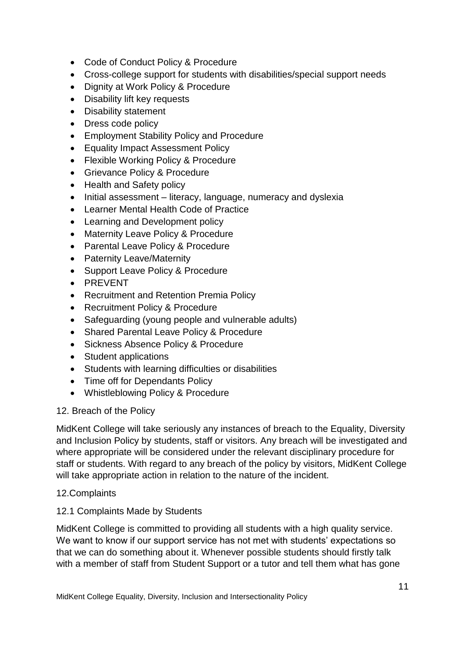- Code of Conduct Policy & Procedure
- Cross-college support for students with disabilities/special support needs
- Dignity at Work Policy & Procedure
- Disability lift key requests
- Disability statement
- Dress code policy
- Employment Stability Policy and Procedure
- Equality Impact Assessment Policy
- Flexible Working Policy & Procedure
- Grievance Policy & Procedure
- Health and Safety policy
- $\bullet$  Initial assessment literacy, language, numeracy and dyslexia
- Learner Mental Health Code of Practice
- Learning and Development policy
- Maternity Leave Policy & Procedure
- Parental Leave Policy & Procedure
- Paternity Leave/Maternity
- Support Leave Policy & Procedure
- PREVENT
- Recruitment and Retention Premia Policy
- Recruitment Policy & Procedure
- Safeguarding (young people and vulnerable adults)
- Shared Parental Leave Policy & Procedure
- Sickness Absence Policy & Procedure
- Student applications
- Students with learning difficulties or disabilities
- Time off for Dependants Policy
- Whistleblowing Policy & Procedure

## 12. Breach of the Policy

MidKent College will take seriously any instances of breach to the Equality, Diversity and Inclusion Policy by students, staff or visitors. Any breach will be investigated and where appropriate will be considered under the relevant disciplinary procedure for staff or students. With regard to any breach of the policy by visitors, MidKent College will take appropriate action in relation to the nature of the incident.

## 12.Complaints

## 12.1 Complaints Made by Students

MidKent College is committed to providing all students with a high quality service. We want to know if our support service has not met with students' expectations so that we can do something about it. Whenever possible students should firstly talk with a member of staff from Student Support or a tutor and tell them what has gone